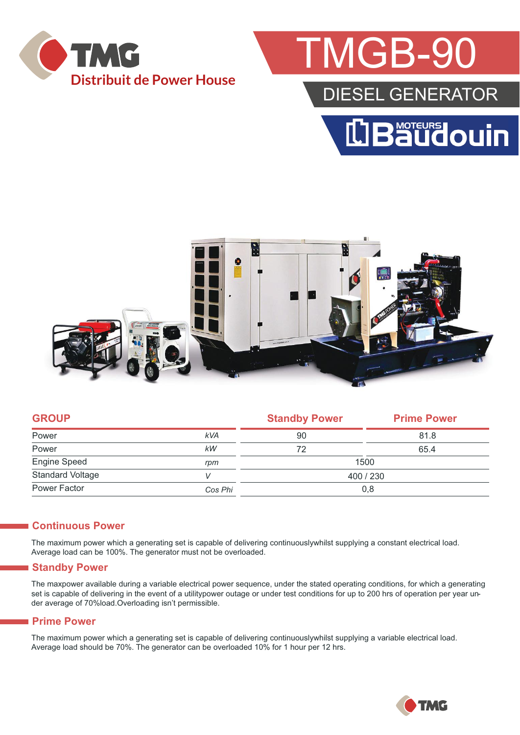

## MGB-9

### DIESEL GENERATOR





| <b>GROUP</b>            |            | <b>Standby Power</b> | <b>Prime Power</b> |  |
|-------------------------|------------|----------------------|--------------------|--|
| Power                   | <b>kVA</b> | 90                   | 81.8               |  |
| Power                   | kW         | 72                   | 65.4               |  |
| Engine Speed            | rpm        | 1500                 |                    |  |
| <b>Standard Voltage</b> |            | 400 / 230            |                    |  |
| Power Factor            | Cos Phi    | 0,8                  |                    |  |
|                         |            |                      |                    |  |

#### **Continuous Power**

The maximum power which a generating set is capable of delivering continuouslywhilst supplying a constant electrical load. Average load can be 100%. The generator must not be overloaded.

#### **Standby Power**

The maxpower available during a variable electrical power sequence, under the stated operating conditions, for which a generating set is capable of delivering in the event of a utilitypower outage or under test conditions for up to 200 hrs of operation per year under average of 70%load.Overloading isn't permissible.

#### **Prime Power**

The maximum power which a generating set is capable of delivering continuouslywhilst supplying a variable electrical load. Average load should be 70%. The generator can be overloaded 10% for 1 hour per 12 hrs.

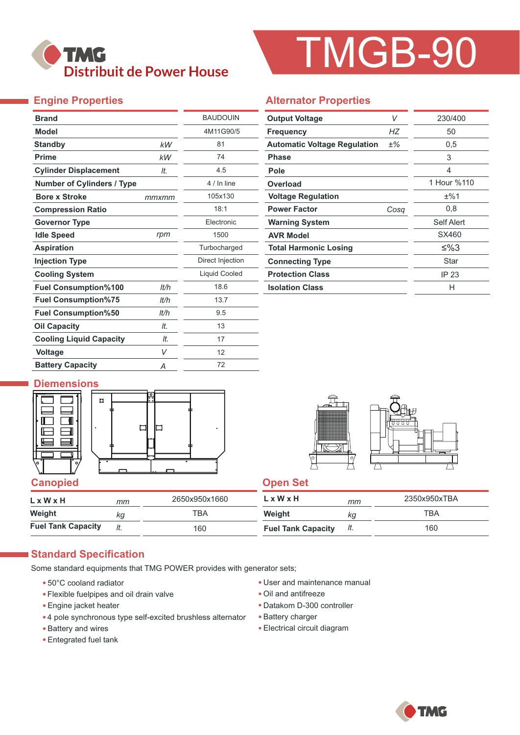

# TMGB-90

### **Engine Properties**

| <b>Brand</b>                      |       | <b>BAUDOUIN</b>      |  |  |
|-----------------------------------|-------|----------------------|--|--|
| <b>Model</b>                      |       | 4M11G90/5            |  |  |
| <b>Standby</b>                    | kW    | 81                   |  |  |
| <b>Prime</b>                      | kW    | 74                   |  |  |
| <b>Cylinder Displacement</b>      | It.   | 4.5                  |  |  |
| <b>Number of Cylinders / Type</b> |       | 4 / In line          |  |  |
| <b>Bore x Stroke</b>              | mmxmm | 105x130              |  |  |
| <b>Compression Ratio</b>          |       | 18:1                 |  |  |
| <b>Governor Type</b>              |       | <b>Flectronic</b>    |  |  |
| <b>Idle Speed</b>                 | rpm   | 1500                 |  |  |
| <b>Aspiration</b>                 |       | Turbocharged         |  |  |
| <b>Injection Type</b>             |       | Direct Injection     |  |  |
| <b>Cooling System</b>             |       | <b>Liquid Cooled</b> |  |  |
| <b>Fuel Consumption%100</b>       | lt/h  | 18.6                 |  |  |
| <b>Fuel Consumption%75</b>        | lt/h  | 13.7                 |  |  |
| <b>Fuel Consumption%50</b>        | lt/h  | 9.5                  |  |  |
| <b>Oil Capacity</b>               | It.   | 13                   |  |  |
| <b>Cooling Liquid Capacity</b>    | It.   | 17                   |  |  |
| <b>Voltage</b>                    | V     | 12                   |  |  |
| <b>Battery Capacity</b>           | Α     | 72                   |  |  |

#### **Alternator Properties**

| <b>Output Voltage</b>               | V     | 230/400     |  |
|-------------------------------------|-------|-------------|--|
| <b>Frequency</b>                    | НZ    | 50          |  |
| <b>Automatic Voltage Regulation</b> | $±\%$ | 0,5         |  |
| <b>Phase</b>                        |       | 3           |  |
| Pole                                |       | 4           |  |
| Overload                            |       | 1 Hour %110 |  |
| <b>Voltage Regulation</b>           |       | ±%1         |  |
| <b>Power Factor</b>                 | Cosa  | 0,8         |  |
| <b>Warning System</b>               |       | Self Alert  |  |
| <b>AVR Model</b>                    |       | SX460       |  |
| <b>Total Harmonic Losing</b>        |       | ≤%3         |  |
| <b>Connecting Type</b>              |       | Star        |  |
| <b>Protection Class</b>             |       | IP 23       |  |
| <b>Isolation Class</b>              |       | н           |  |

#### **Diemensions**





| L x W x H                 | mm  | 2650x950x1660 | L x W x H                 | mm  | 2350x950xTBA |
|---------------------------|-----|---------------|---------------------------|-----|--------------|
| Weight                    | Кq  | ⊤вд           | Weight                    | ΚG  | TBA          |
| <b>Fuel Tank Capacity</b> | It. | 160           | <b>Fuel Tank Capacity</b> | It. | 160          |

#### **Standard Specification**

Some standard equipments that TMG POWER provides with generator sets;

- 50°C cooland radiator
- Flexible fuelpipes and oil drain valve
- Engine jacket heater
- 4 pole synchronous type self-excited brushless alternator
- Battery and wires
- Entegrated fuel tank
- User and maintenance manual
- Oil and antifreeze
- Datakom D-300 controller
- Battery charger
- Electrical circuit diagram